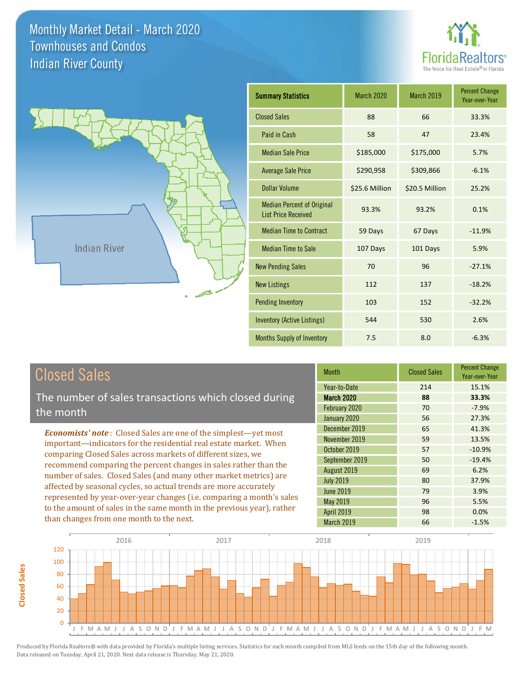

13.5% -10.9%

-1.5%

3.9% 5.5% 0.0%

-19.4%

98

March 2019 66

April 2019

Percent Change Year-over-Year



| <b>Summary Statistics</b>                                       | March 2020     | <b>March 2019</b> | <b>Percent Change</b><br>Year-over-Year |
|-----------------------------------------------------------------|----------------|-------------------|-----------------------------------------|
| <b>Closed Sales</b>                                             | 88             | 66                | 33.3%                                   |
| Paid in Cash                                                    | 58             | 47                | 23.4%                                   |
| <b>Median Sale Price</b>                                        | \$185,000      | \$175,000         | 5.7%                                    |
| <b>Average Sale Price</b>                                       | \$290,958      | \$309,866         | $-6.1%$                                 |
| Dollar Volume                                                   | \$25.6 Million | \$20.5 Million    | 25.2%                                   |
| <b>Median Percent of Original</b><br><b>List Price Received</b> | 93.3%          | 93.2%             | 0.1%                                    |
| <b>Median Time to Contract</b>                                  | 59 Days        | 67 Days           | $-11.9%$                                |
| <b>Median Time to Sale</b>                                      | 107 Days       | 101 Days          | 5.9%                                    |
| <b>New Pending Sales</b>                                        | 70             | 96                | $-27.1%$                                |
| <b>New Listings</b>                                             | 112            | 137               | $-18.2%$                                |
| <b>Pending Inventory</b>                                        | 103            | 152               | $-32.2%$                                |
| Inventory (Active Listings)                                     | 544            | 530               | 2.6%                                    |
| Months Supply of Inventory                                      | 7.5            | 8.0               | $-6.3%$                                 |

| Year-to-Date<br>214<br>The number of sales transactions which closed during<br><b>March 2020</b><br>88<br>February 2020<br>70<br>the month<br>January 2020<br>56<br>December 2019<br>65<br><b>Economists' note:</b> Closed Sales are one of the simplest-yet most<br>November 2019<br>59<br>important-indicators for the residential real estate market. When<br>October 2019<br>57<br>comparing Closed Sales across markets of different sizes, we<br>September 2019<br>50<br>recommend comparing the percent changes in sales rather than the<br>August 2019<br>69<br>number of sales. Closed Sales (and many other market metrics) are<br>37.9%<br><b>July 2019</b><br>80<br>affected by seasonal cycles, so actual trends are more accurately<br><b>June 2019</b><br>79 | <b>Closed Sales</b>                                                   | <b>Month</b> | <b>Closed Sales</b> | <b>Percent Cha</b><br>Year-over-Y |
|-----------------------------------------------------------------------------------------------------------------------------------------------------------------------------------------------------------------------------------------------------------------------------------------------------------------------------------------------------------------------------------------------------------------------------------------------------------------------------------------------------------------------------------------------------------------------------------------------------------------------------------------------------------------------------------------------------------------------------------------------------------------------------|-----------------------------------------------------------------------|--------------|---------------------|-----------------------------------|
|                                                                                                                                                                                                                                                                                                                                                                                                                                                                                                                                                                                                                                                                                                                                                                             |                                                                       |              |                     | 15.1%<br>33.3%                    |
|                                                                                                                                                                                                                                                                                                                                                                                                                                                                                                                                                                                                                                                                                                                                                                             |                                                                       |              |                     | $-7.9%$<br>27.3%                  |
|                                                                                                                                                                                                                                                                                                                                                                                                                                                                                                                                                                                                                                                                                                                                                                             |                                                                       |              |                     | 41.3%<br>13.5%                    |
|                                                                                                                                                                                                                                                                                                                                                                                                                                                                                                                                                                                                                                                                                                                                                                             |                                                                       |              |                     | $-10.9%$<br>$-19.4%$              |
|                                                                                                                                                                                                                                                                                                                                                                                                                                                                                                                                                                                                                                                                                                                                                                             |                                                                       |              |                     | 6.2%                              |
| May 2019<br>96                                                                                                                                                                                                                                                                                                                                                                                                                                                                                                                                                                                                                                                                                                                                                              | represented by year-over-year changes (i.e. comparing a month's sales |              |                     | 3.9%<br>5.5%                      |



Produced by Florida Realtors® with data provided by Florida's multiple listing services. Statistics for each month compiled from MLS feeds on the 15th day of the following month. Data released on Tuesday, April 21, 2020. Next data release is Thursday, May 21, 2020.

to the amount of sales in the same month in the previous year), rather

than changes from one month to the next.

**Closed Sales**

**Closed Sales**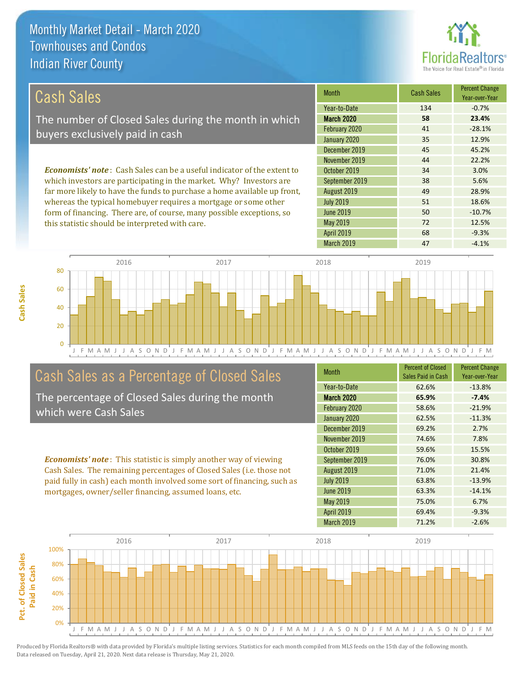this statistic should be interpreted with care.



50 -10.7%

72 12.5%

| Cash Sales                                                                     | <b>Month</b>     | <b>Cash Sales</b> | <b>Percent Change</b><br>Year-over-Year |
|--------------------------------------------------------------------------------|------------------|-------------------|-----------------------------------------|
|                                                                                | Year-to-Date     | 134               | $-0.7%$                                 |
| The number of Closed Sales during the month in which                           | March 2020       | 58                | 23.4%                                   |
| buyers exclusively paid in cash                                                | February 2020    | 41                | $-28.1%$                                |
|                                                                                | January 2020     | 35                | 12.9%                                   |
|                                                                                | December 2019    | 45                | 45.2%                                   |
|                                                                                | November 2019    | 44                | 22.2%                                   |
| <b>Economists' note:</b> Cash Sales can be a useful indicator of the extent to | October 2019     | 34                | 3.0%                                    |
| which investors are participating in the market. Why? Investors are            | September 2019   | 38                | 5.6%                                    |
| far more likely to have the funds to purchase a home available up front,       | August 2019      | 49                | 28.9%                                   |
| whereas the typical homebuyer requires a mortgage or some other                | <b>July 2019</b> | 51                | 18.6%                                   |

J F M A M J J A S O N D J F M A M J J A S O N D J F M A M J J A S O N D J F M A M J J A S O N D J F M 0 20 40 60 80 2016 2017 2018 2019

# Cash Sales as a Percentage of Closed Sales

form of financing. There are, of course, many possible exceptions, so

The percentage of Closed Sales during the month which were Cash Sales

*Economists' note* : This statistic is simply another way of viewing Cash Sales. The remaining percentages of Closed Sales (i.e. those not paid fully in cash) each month involved some sort of financing, such as mortgages, owner/seller financing, assumed loans, etc.

| <b>Month</b>      | <b>Percent of Closed</b><br>Sales Paid in Cash | <b>Percent Change</b><br>Year-over-Year |
|-------------------|------------------------------------------------|-----------------------------------------|
| Year-to-Date      | 62.6%                                          | $-13.8%$                                |
| March 2020        | 65.9%                                          | $-7.4%$                                 |
| February 2020     | 58.6%                                          | $-21.9%$                                |
| January 2020      | 62.5%                                          | $-11.3%$                                |
| December 2019     | 69.2%                                          | 2.7%                                    |
| November 2019     | 74.6%                                          | 7.8%                                    |
| October 2019      | 59.6%                                          | 15.5%                                   |
| September 2019    | 76.0%                                          | 30.8%                                   |
| August 2019       | 71.0%                                          | 21.4%                                   |
| <b>July 2019</b>  | 63.8%                                          | $-13.9%$                                |
| <b>June 2019</b>  | 63.3%                                          | $-14.1%$                                |
| <b>May 2019</b>   | 75.0%                                          | 6.7%                                    |
| <b>April 2019</b> | 69.4%                                          | $-9.3%$                                 |
| <b>March 2019</b> | 71.2%                                          | $-2.6%$                                 |

March 2019 **47** -4.1%

April 2019 **68** -9.3%

May 2019

June 2019

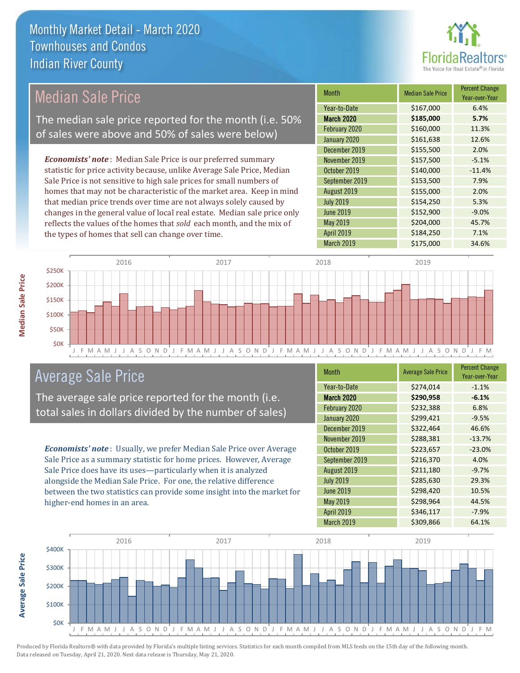

## Median Sale Price

The median sale price reported for the month (i.e. 50% of sales were above and 50% of sales were below)

*Economists' note* : Median Sale Price is our preferred summary statistic for price activity because, unlike Average Sale Price, Median Sale Price is not sensitive to high sale prices for small numbers of homes that may not be characteristic of the market area. Keep in mind that median price trends over time are not always solely caused by changes in the general value of local real estate. Median sale price only reflects the values of the homes that *sold* each month, and the mix of the types of homes that sell can change over time.

| <b>Month</b>      | <b>Median Sale Price</b> | <b>Percent Change</b><br>Year-over-Year |
|-------------------|--------------------------|-----------------------------------------|
| Year-to-Date      | \$167,000                | 6.4%                                    |
| <b>March 2020</b> | \$185,000                | 5.7%                                    |
| February 2020     | \$160,000                | 11.3%                                   |
| January 2020      | \$161,638                | 12.6%                                   |
| December 2019     | \$155,500                | 2.0%                                    |
| November 2019     | \$157,500                | $-5.1%$                                 |
| October 2019      | \$140,000                | $-11.4%$                                |
| September 2019    | \$153,500                | 7.9%                                    |
| August 2019       | \$155,000                | 2.0%                                    |
| <b>July 2019</b>  | \$154,250                | 5.3%                                    |
| <b>June 2019</b>  | \$152,900                | $-9.0%$                                 |
| May 2019          | \$204,000                | 45.7%                                   |
| <b>April 2019</b> | \$184,250                | 7.1%                                    |
| March 2019        | \$175,000                | 34.6%                                   |



## Average Sale Price

The average sale price reported for the month (i.e. total sales in dollars divided by the number of sales)

*Economists' note* : Usually, we prefer Median Sale Price over Average Sale Price as a summary statistic for home prices. However, Average Sale Price does have its uses—particularly when it is analyzed alongside the Median Sale Price. For one, the relative difference between the two statistics can provide some insight into the market for higher-end homes in an area.

| <b>Month</b>      | <b>Average Sale Price</b> | <b>Percent Change</b><br>Year-over-Year |
|-------------------|---------------------------|-----------------------------------------|
| Year-to-Date      | \$274,014                 | $-1.1%$                                 |
| <b>March 2020</b> | \$290,958                 | $-6.1%$                                 |
| February 2020     | \$232,388                 | 6.8%                                    |
| January 2020      | \$299,421                 | $-9.5%$                                 |
| December 2019     | \$322,464                 | 46.6%                                   |
| November 2019     | \$288,381                 | $-13.7%$                                |
| October 2019      | \$223,657                 | $-23.0%$                                |
| September 2019    | \$216,370                 | 4.0%                                    |
| August 2019       | \$211,180                 | $-9.7%$                                 |
| <b>July 2019</b>  | \$285,630                 | 29.3%                                   |
| <b>June 2019</b>  | \$298,420                 | 10.5%                                   |
| May 2019          | \$298,964                 | 44.5%                                   |
| <b>April 2019</b> | \$346,117                 | $-7.9%$                                 |
| March 2019        | \$309,866                 | 64.1%                                   |



**Average Sale Price Average Sale Price**

**Median Sale Price**

**Median Sale Price**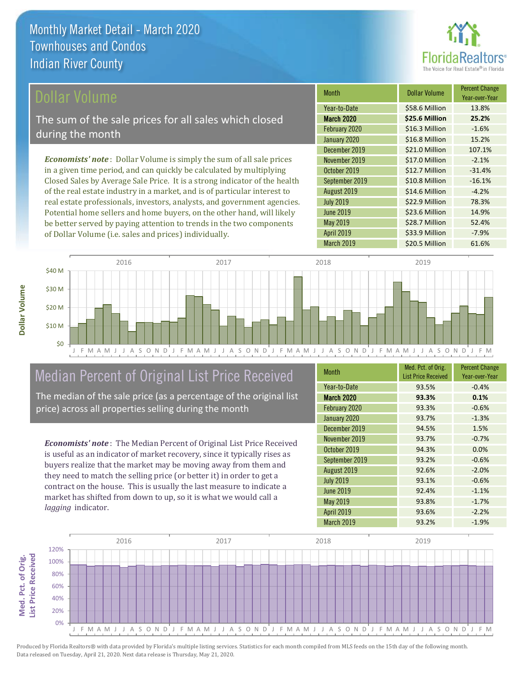

Year-over-Year

-4.2%

\$23.6 Million 14.9%

\$28.7 Million 52.4%

Month **Dollar Volume** Percent Change

March 2020 **\$25.6 Million 25.2%** Year-to-Date \$58.6 Million 13.8%

February 2020 \$16.3 Million -1.6% January 2020 <br>
S16.8 Million 15.2%

December 2019 **\$21.0 Million** 107.1% November 2019 **\$17.0 Million** -2.1% October 2019 **\$12.7 Million** -31.4% September 2019 **\$10.8 Million** -16.1%

March 2019 **\$20.5 Million** 61.6%

April 2019 **\$33.9 Million -7.9%** 

July 2019 **\$22.9 Million** 78.3%

August 2019 **\$14.6 Million** 

May 2019

June 2019

### ollar Volume

The sum of the sale prices for all sales which closed during the month

*Economists' note* : Dollar Volume is simply the sum of all sale prices in a given time period, and can quickly be calculated by multiplying Closed Sales by Average Sale Price. It is a strong indicator of the health of the real estate industry in a market, and is of particular interest to real estate professionals, investors, analysts, and government agencies. Potential home sellers and home buyers, on the other hand, will likely be better served by paying attention to trends in the two components of Dollar Volume (i.e. sales and prices) individually.



## Median Percent of Original List Price Received

The median of the sale price (as a percentage of the original list price) across all properties selling during the month

*Economists' note* : The Median Percent of Original List Price Received is useful as an indicator of market recovery, since it typically rises as buyers realize that the market may be moving away from them and they need to match the selling price (or better it) in order to get a contract on the house. This is usually the last measure to indicate a market has shifted from down to up, so it is what we would call a *lagging* indicator.

| <b>Month</b>      | Med. Pct. of Orig.<br><b>List Price Received</b> | <b>Percent Change</b><br>Year-over-Year |
|-------------------|--------------------------------------------------|-----------------------------------------|
| Year-to-Date      | 93.5%                                            | $-0.4%$                                 |
| <b>March 2020</b> | 93.3%                                            | 0.1%                                    |
| February 2020     | 93.3%                                            | $-0.6%$                                 |
| January 2020      | 93.7%                                            | $-1.3%$                                 |
| December 2019     | 94.5%                                            | 1.5%                                    |
| November 2019     | 93.7%                                            | $-0.7%$                                 |
| October 2019      | 94.3%                                            | 0.0%                                    |
| September 2019    | 93.2%                                            | $-0.6%$                                 |
| August 2019       | 92.6%                                            | $-2.0%$                                 |
| <b>July 2019</b>  | 93.1%                                            | $-0.6%$                                 |
| <b>June 2019</b>  | 92.4%                                            | $-1.1%$                                 |
| May 2019          | 93.8%                                            | $-1.7%$                                 |
| <b>April 2019</b> | 93.6%                                            | $-2.2%$                                 |
| March 2019        | 93.2%                                            | $-1.9%$                                 |

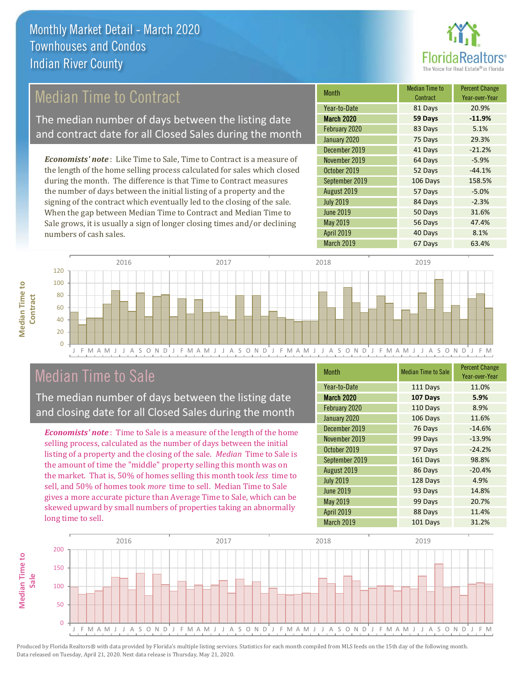

## Median Time to Contract

The median number of days between the listing date and contract date for all Closed Sales during the month

*Economists' note* : Like Time to Sale, Time to Contract is a measure of the length of the home selling process calculated for sales which closed during the month. The difference is that Time to Contract measures the number of days between the initial listing of a property and the signing of the contract which eventually led to the closing of the sale. When the gap between Median Time to Contract and Median Time to Sale grows, it is usually a sign of longer closing times and/or declining numbers of cash sales.

| Month             | <b>Median Time to</b><br>Contract | <b>Percent Change</b><br>Year-over-Year |
|-------------------|-----------------------------------|-----------------------------------------|
| Year-to-Date      | 81 Days                           | 20.9%                                   |
| <b>March 2020</b> | 59 Days                           | $-11.9%$                                |
| February 2020     | 83 Days                           | 5.1%                                    |
| January 2020      | 75 Days                           | 29.3%                                   |
| December 2019     | 41 Days                           | $-21.2%$                                |
| November 2019     | 64 Days                           | $-5.9%$                                 |
| October 2019      | 52 Days                           | $-44.1%$                                |
| September 2019    | 106 Days                          | 158.5%                                  |
| August 2019       | 57 Days                           | $-5.0%$                                 |
| <b>July 2019</b>  | 84 Days                           | $-2.3%$                                 |
| <b>June 2019</b>  | 50 Days                           | 31.6%                                   |
| May 2019          | 56 Days                           | 47.4%                                   |
| April 2019        | 40 Days                           | 8.1%                                    |
| March 2019        | 67 Days                           | 63.4%                                   |





## Median Time to Sale

 $\Omega$ 

The median number of days between the listing date and closing date for all Closed Sales during the month

*Economists' note* : Time to Sale is a measure of the length of the home selling process, calculated as the number of days between the initial listing of a property and the closing of the sale. *Median* Time to Sale is the amount of time the "middle" property selling this month was on the market. That is, 50% of homes selling this month took *less* time to sell, and 50% of homes took *more* time to sell. Median Time to Sale gives a more accurate picture than Average Time to Sale, which can be skewed upward by small numbers of properties taking an abnormally long time to sell.

| <b>Month</b>      | <b>Median Time to Sale</b> | <b>Percent Change</b><br>Year-over-Year |
|-------------------|----------------------------|-----------------------------------------|
| Year-to-Date      | 111 Days                   | 11.0%                                   |
| <b>March 2020</b> | 107 Days                   | 5.9%                                    |
| February 2020     | 110 Days                   | 8.9%                                    |
| January 2020      | 106 Days                   | 11.6%                                   |
| December 2019     | 76 Days                    | $-14.6%$                                |
| November 2019     | 99 Days                    | $-13.9%$                                |
| October 2019      | 97 Days                    | $-24.2%$                                |
| September 2019    | 161 Days                   | 98.8%                                   |
| August 2019       | 86 Days                    | $-20.4%$                                |
| <b>July 2019</b>  | 128 Days                   | 4.9%                                    |
| <b>June 2019</b>  | 93 Days                    | 14.8%                                   |
| May 2019          | 99 Days                    | 20.7%                                   |
| <b>April 2019</b> | 88 Days                    | 11.4%                                   |
| March 2019        | 101 Days                   | 31.2%                                   |

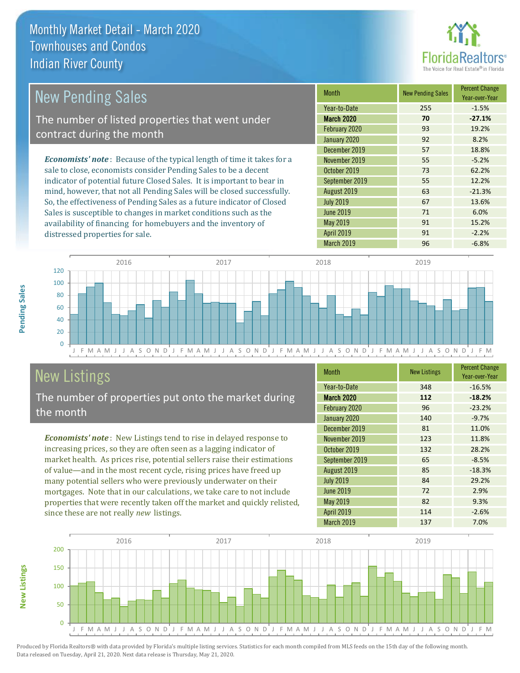

| New Pending Sales                                                              | <b>Month</b>      | <b>New Pending Sales</b> | <b>Percent Change</b><br>Year-over-Year |
|--------------------------------------------------------------------------------|-------------------|--------------------------|-----------------------------------------|
|                                                                                | Year-to-Date      | 255                      | $-1.5%$                                 |
| The number of listed properties that went under                                | <b>March 2020</b> | 70                       | $-27.1%$                                |
| contract during the month                                                      | February 2020     | 93                       | 19.2%                                   |
|                                                                                | January 2020      | 92                       | 8.2%                                    |
|                                                                                | December 2019     | 57                       | 18.8%                                   |
| <b>Economists' note</b> : Because of the typical length of time it takes for a | November 2019     | 55                       | $-5.2%$                                 |
| sale to close, economists consider Pending Sales to be a decent                | October 2019      | 73                       | 62.2%                                   |
| indicator of potential future Closed Sales. It is important to bear in         | September 2019    | 55                       | 12.2%                                   |
| mind, however, that not all Pending Sales will be closed successfully.         | August 2019       | 63                       | $-21.3%$                                |
| So, the effectiveness of Pending Sales as a future indicator of Closed         | <b>July 2019</b>  | 67                       | 13.6%                                   |
| Sales is susceptible to changes in market conditions such as the               | June 2019         | 71                       | 6.0%                                    |



# New Listings

**New Listings**

**Pending Sales**

Pending Sales

distressed properties for sale.

The number of properties put onto the market during the month

availability of financing for homebuyers and the inventory of

*Economists' note* : New Listings tend to rise in delayed response to increasing prices, so they are often seen as a lagging indicator of market health. As prices rise, potential sellers raise their estimations of value—and in the most recent cycle, rising prices have freed up many potential sellers who were previously underwater on their mortgages. Note that in our calculations, we take care to not include properties that were recently taken off the market and quickly relisted, since these are not really *new* listings.

| <b>Month</b>      | <b>New Listings</b> | <b>Percent Change</b><br>Year-over-Year |
|-------------------|---------------------|-----------------------------------------|
| Year-to-Date      | 348                 | $-16.5%$                                |
| <b>March 2020</b> | 112                 | $-18.2%$                                |
| February 2020     | 96                  | $-23.2%$                                |
| January 2020      | 140                 | $-9.7%$                                 |
| December 2019     | 81                  | 11.0%                                   |
| November 2019     | 123                 | 11.8%                                   |
| October 2019      | 132                 | 28.2%                                   |
| September 2019    | 65                  | $-8.5%$                                 |
| August 2019       | 85                  | $-18.3%$                                |
| <b>July 2019</b>  | 84                  | 29.2%                                   |
| <b>June 2019</b>  | 72                  | 2.9%                                    |
| May 2019          | 82                  | 9.3%                                    |
| <b>April 2019</b> | 114                 | $-2.6%$                                 |
| March 2019        | 137                 | 7.0%                                    |

May 2019 **91** 15.2% April 2019 **91** -2.2%

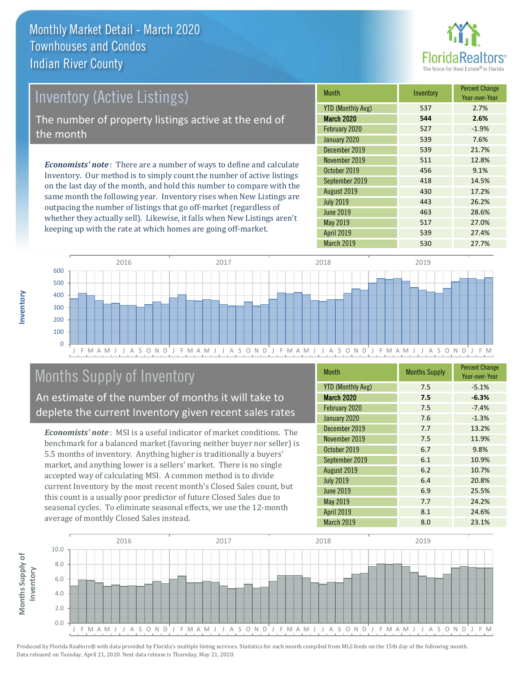

# *Economists' note* : There are a number of ways to define and calculate Inventory (Active Listings) The number of property listings active at the end of the month

Inventory. Our method is to simply count the number of active listings on the last day of the month, and hold this number to compare with the same month the following year. Inventory rises when New Listings are outpacing the number of listings that go off-market (regardless of whether they actually sell). Likewise, it falls when New Listings aren't keeping up with the rate at which homes are going off-market.

| <b>Month</b>             | Inventory | <b>Percent Change</b><br>Year-over-Year |
|--------------------------|-----------|-----------------------------------------|
| <b>YTD (Monthly Avg)</b> | 537       | 2.7%                                    |
| <b>March 2020</b>        | 544       | 2.6%                                    |
| February 2020            | 527       | $-1.9%$                                 |
| January 2020             | 539       | 7.6%                                    |
| December 2019            | 539       | 21.7%                                   |
| November 2019            | 511       | 12.8%                                   |
| October 2019             | 456       | 9.1%                                    |
| September 2019           | 418       | 14.5%                                   |
| August 2019              | 430       | 17.2%                                   |
| <b>July 2019</b>         | 443       | 26.2%                                   |
| <b>June 2019</b>         | 463       | 28.6%                                   |
| <b>May 2019</b>          | 517       | 27.0%                                   |
| <b>April 2019</b>        | 539       | 27.4%                                   |
| <b>March 2019</b>        | 530       | 27.7%                                   |



# Months Supply of Inventory

An estimate of the number of months it will take to deplete the current Inventory given recent sales rates

*Economists' note* : MSI is a useful indicator of market conditions. The benchmark for a balanced market (favoring neither buyer nor seller) is 5.5 months of inventory. Anything higher is traditionally a buyers' market, and anything lower is a sellers' market. There is no single accepted way of calculating MSI. A common method is to divide current Inventory by the most recent month's Closed Sales count, but this count is a usually poor predictor of future Closed Sales due to seasonal cycles. To eliminate seasonal effects, we use the 12-month average of monthly Closed Sales instead.

| <b>Month</b>             | <b>Months Supply</b> | <b>Percent Change</b><br>Year-over-Year |
|--------------------------|----------------------|-----------------------------------------|
| <b>YTD (Monthly Avg)</b> | 7.5                  | $-5.1%$                                 |
| <b>March 2020</b>        | 7.5                  | $-6.3%$                                 |
| February 2020            | 7.5                  | $-7.4%$                                 |
| January 2020             | 7.6                  | $-1.3%$                                 |
| December 2019            | 7.7                  | 13.2%                                   |
| November 2019            | 7.5                  | 11.9%                                   |
| October 2019             | 6.7                  | 9.8%                                    |
| September 2019           | 6.1                  | 10.9%                                   |
| August 2019              | 6.2                  | 10.7%                                   |
| <b>July 2019</b>         | 6.4                  | 20.8%                                   |
| <b>June 2019</b>         | 6.9                  | 25.5%                                   |
| May 2019                 | 7.7                  | 24.2%                                   |
| <b>April 2019</b>        | 8.1                  | 24.6%                                   |
| <b>March 2019</b>        | 8.0                  | 23.1%                                   |



**Inventory**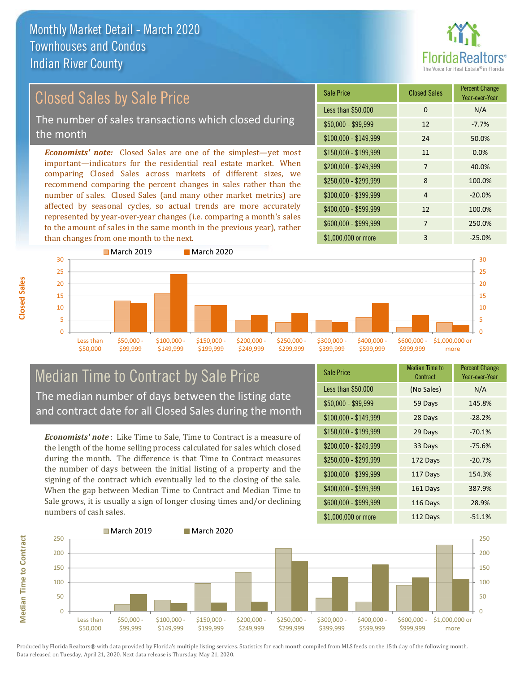

# Closed Sales by Sale Price

The number of sales transactions which closed during the month

*Economists' note:* Closed Sales are one of the simplest—yet most important—indicators for the residential real estate market. When comparing Closed Sales across markets of different sizes, we recommend comparing the percent changes in sales rather than the number of sales. Closed Sales (and many other market metrics) are affected by seasonal cycles, so actual trends are more accurately represented by year-over-year changes (i.e. comparing a month's sales to the amount of sales in the same month in the previous year), rather than changes from one month to the next.

| <b>Sale Price</b>     | <b>Closed Sales</b> | <b>Percent Change</b><br>Year-over-Year |
|-----------------------|---------------------|-----------------------------------------|
| Less than \$50,000    | $\Omega$            | N/A                                     |
| $$50,000 - $99,999$   | 12                  | $-7.7%$                                 |
| $$100,000 - $149,999$ | 24                  | 50.0%                                   |
| $$150,000 - $199,999$ | 11                  | 0.0%                                    |
| \$200,000 - \$249,999 | 7                   | 40.0%                                   |
| \$250,000 - \$299,999 | 8                   | 100.0%                                  |
| \$300,000 - \$399,999 | 4                   | $-20.0%$                                |
| \$400,000 - \$599,999 | 12                  | 100.0%                                  |
| \$600,000 - \$999,999 | 7                   | 250.0%                                  |
| \$1,000,000 or more   | 3                   | $-25.0%$                                |



### Median Time to Contract by Sale Price The median number of days between the listing date and contract date for all Closed Sales during the month

*Economists' note* : Like Time to Sale, Time to Contract is a measure of the length of the home selling process calculated for sales which closed during the month. The difference is that Time to Contract measures the number of days between the initial listing of a property and the signing of the contract which eventually led to the closing of the sale. When the gap between Median Time to Contract and Median Time to Sale grows, it is usually a sign of longer closing times and/or declining numbers of cash sales.

| <b>Sale Price</b>     | Median Time to<br>Contract | <b>Percent Change</b><br>Year-over-Year |
|-----------------------|----------------------------|-----------------------------------------|
| Less than \$50,000    | (No Sales)                 | N/A                                     |
| $$50,000 - $99,999$   | 59 Days                    | 145.8%                                  |
| $$100,000 - $149,999$ | 28 Days                    | $-28.2%$                                |
| $$150,000 - $199,999$ | 29 Days                    | $-70.1%$                                |
| \$200,000 - \$249,999 | 33 Days                    | $-75.6%$                                |
| \$250,000 - \$299,999 | 172 Days                   | $-20.7%$                                |
| \$300,000 - \$399,999 | 117 Days                   | 154.3%                                  |
| \$400,000 - \$599,999 | 161 Days                   | 387.9%                                  |
| \$600,000 - \$999,999 | 116 Days                   | 28.9%                                   |
| \$1,000,000 or more   | 112 Days                   | $-51.1%$                                |

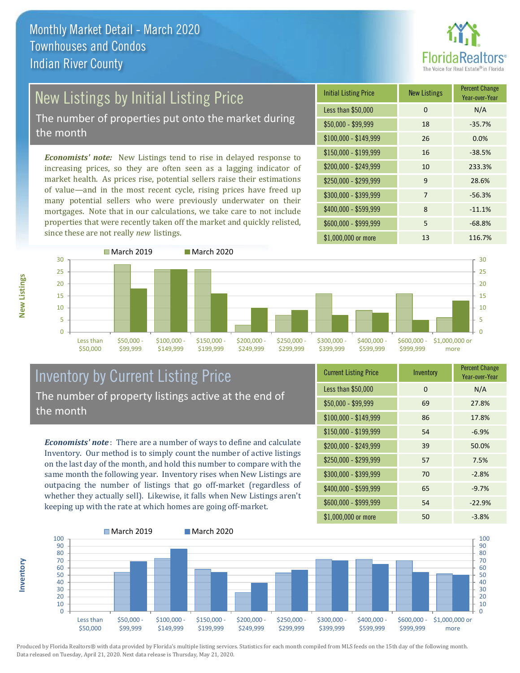

# New Listings by Initial Listing Price

The number of properties put onto the market during the month

*Economists' note:* New Listings tend to rise in delayed response to increasing prices, so they are often seen as a lagging indicator of market health. As prices rise, potential sellers raise their estimations of value—and in the most recent cycle, rising prices have freed up many potential sellers who were previously underwater on their mortgages. Note that in our calculations, we take care to not include properties that were recently taken off the market and quickly relisted, since these are not really *new* listings.





## Inventory by Current Listing Price The number of property listings active at the end of the month

*Economists' note* : There are a number of ways to define and calculate Inventory. Our method is to simply count the number of active listings on the last day of the month, and hold this number to compare with the same month the following year. Inventory rises when New Listings are outpacing the number of listings that go off-market (regardless of whether they actually sell). Likewise, it falls when New Listings aren't keeping up with the rate at which homes are going off-market.

| <b>Current Listing Price</b> | Inventory | <b>Percent Change</b><br>Year-over-Year |
|------------------------------|-----------|-----------------------------------------|
| Less than \$50,000           | $\Omega$  | N/A                                     |
| $$50,000 - $99,999$          | 69        | 27.8%                                   |
| $$100,000 - $149,999$        | 86        | 17.8%                                   |
| $$150,000 - $199,999$        | 54        | $-6.9%$                                 |
| \$200,000 - \$249,999        | 39        | 50.0%                                   |
| \$250,000 - \$299,999        | 57        | 7.5%                                    |
| \$300,000 - \$399,999        | 70        | $-2.8%$                                 |
| \$400,000 - \$599,999        | 65        | $-9.7%$                                 |
| \$600,000 - \$999,999        | 54        | $-22.9%$                                |
| \$1,000,000 or more          | 50        | $-3.8%$                                 |



Produced by Florida Realtors® with data provided by Florida's multiple listing services. Statistics for each month compiled from MLS feeds on the 15th day of the following month. Data released on Tuesday, April 21, 2020. Next data release is Thursday, May 21, 2020.

**Inventory**